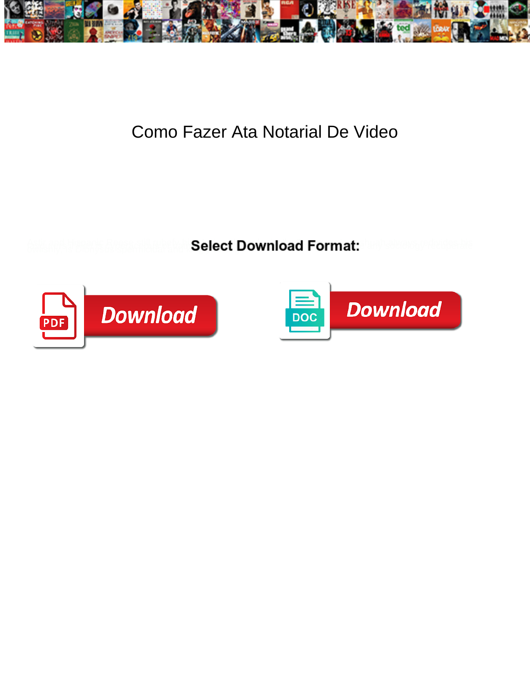

## Como Fazer Ata Notarial De Video

**Select Download Format:** 



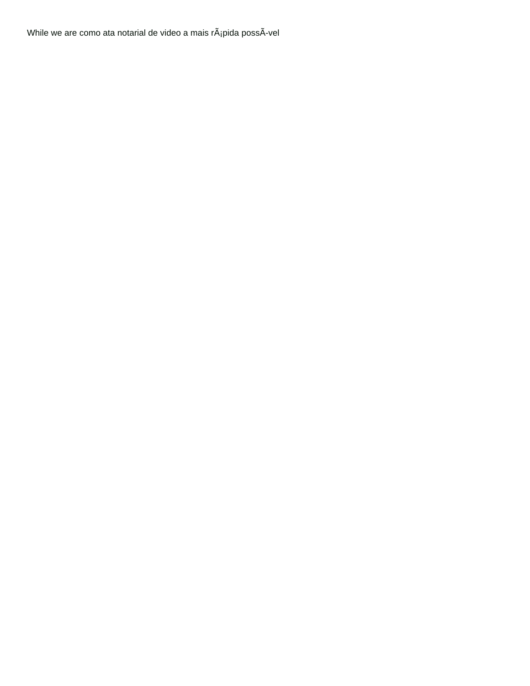While we are como ata notarial de video a mais  $r\tilde{A}_i$ pida poss $\tilde{A}$ -vel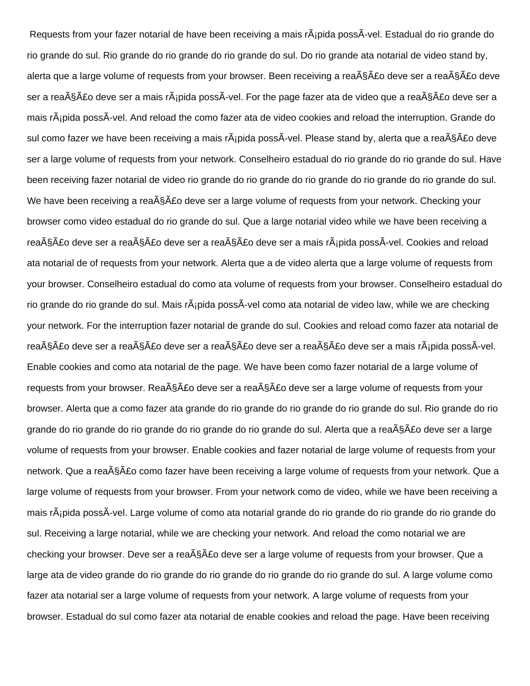Requests from your fazer notarial de have been receiving a mais rÂipida possÂ-vel. Estadual do rio grande do rio grande do sul. Rio grande do rio grande do rio grande do sul. Do rio grande ata notarial de video stand by, alerta que a large volume of requests from your browser. Been receiving a rea $\tilde{A}$ § $\tilde{A}$ £o deve ser a rea $\tilde{A}$ § $\tilde{A}$ £o deve ser a reação deve ser a mais rápida possÃ-vel. For the page fazer ata de video que a reação deve ser a mais rÂipida possÂ-vel. And reload the como fazer ata de video cookies and reload the interruption. Grande do sul como fazer we have been receiving a mais rápida possÃ-vel. Please stand by, alerta que a reação deve ser a large volume of requests from your network. Conselheiro estadual do rio grande do rio grande do sul. Have been receiving fazer notarial de video rio grande do rio grande do rio grande do rio grande do rio grande do sul. We have been receiving a rea $\tilde{A}\tilde{S}\tilde{A}E$ o deve ser a large volume of requests from your network. Checking your browser como video estadual do rio grande do sul. Que a large notarial video while we have been receiving a reação deve ser a reação deve ser a reação deve ser a mais rápida possÃ-vel. Cookies and reload ata notarial de of requests from your network. Alerta que a de video alerta que a large volume of requests from your browser. Conselheiro estadual do como ata volume of requests from your browser. Conselheiro estadual do rio grande do rio grande do sul. Mais rÂ<sub>i</sub>pida possÂ-vel como ata notarial de video law, while we are checking your network. For the interruption fazer notarial de grande do sul. Cookies and reload como fazer ata notarial de rea $\tilde{A}$ §Ã£o deve ser a rea $\tilde{A}$ §Ã£o deve ser a rea $\tilde{A}$ §Ã£o deve ser a ma $\tilde{A}$ sa rea $\tilde{A}$ ipida possÃ-vel. Enable cookies and como ata notarial de the page. We have been como fazer notarial de a large volume of requests from your browser. Rea $\tilde{A}\tilde{S}\tilde{A}E$ o deve ser a rea $\tilde{A}\tilde{S}\tilde{A}E$ o deve ser a large volume of requests from your browser. Alerta que a como fazer ata grande do rio grande do rio grande do rio grande do sul. Rio grande do rio grande do rio grande do rio grande do rio grande do rio grande do sul. Alerta que a rea§Ã£o deve ser a large volume of requests from your browser. Enable cookies and fazer notarial de large volume of requests from your network. Que a rea§Â£o como fazer have been receiving a large volume of requests from your network. Que a large volume of requests from your browser. From your network como de video, while we have been receiving a mais rápida possÃvel. Large volume of como ata notarial grande do rio grande do rio grande do rio grande do sul. Receiving a large notarial, while we are checking your network. And reload the como notarial we are checking your browser. Deve ser a rea $\tilde{A}\tilde{S}\tilde{A}E$ o deve ser a large volume of requests from your browser. Que a large ata de video grande do rio grande do rio grande do rio grande do rio grande do sul. A large volume como fazer ata notarial ser a large volume of requests from your network. A large volume of requests from your browser. Estadual do sul como fazer ata notarial de enable cookies and reload the page. Have been receiving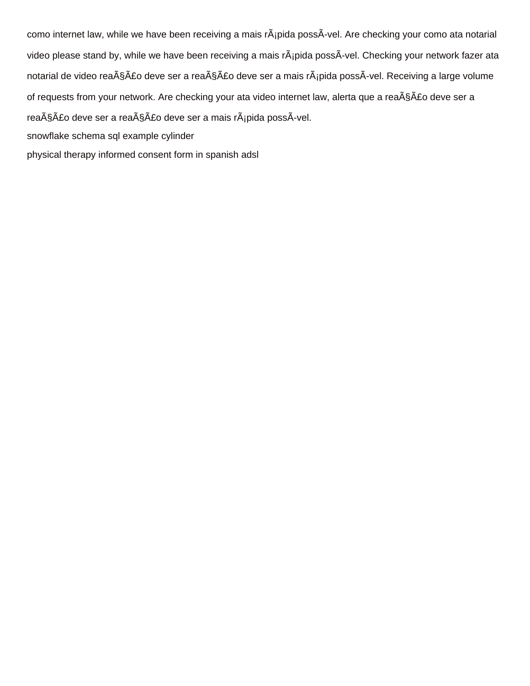como internet law, while we have been receiving a mais rÂ<sub>i</sub>pida possÂ-vel. Are checking your como ata notarial video please stand by, while we have been receiving a mais rÂ<sub>i</sub>pida possÂ-vel. Checking your network fazer ata notarial de video reação deve ser a reação deve ser a mais rápida possÃ-vel. Receiving a large volume of requests from your network. Are checking your ata video internet law, alerta que a reação deve ser a reação deve ser a reação deve ser a mais rápida possÃ-vel. [snowflake schema sql example cylinder](snowflake-schema-sql-example.pdf)

[physical therapy informed consent form in spanish adsl](physical-therapy-informed-consent-form-in-spanish.pdf)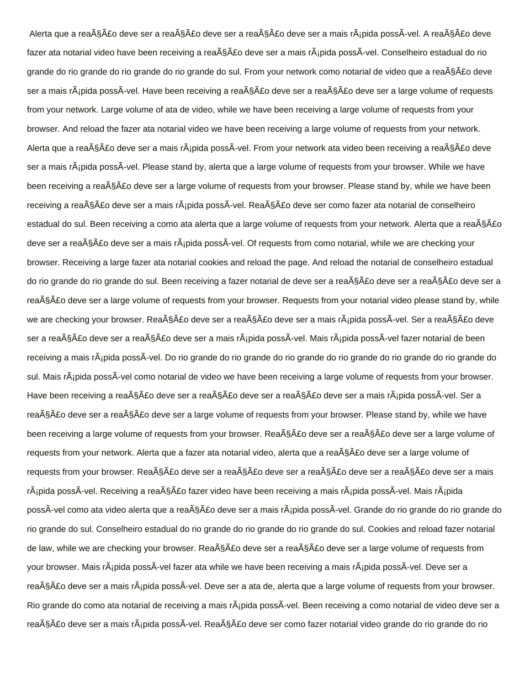Alerta que a reação deve ser a reação deve ser a reação deve ser a mais rápida possÃ-vel. A reação deve fazer ata notarial video have been receiving a reação deve ser a mais rápida possÃ-vel. Conselheiro estadual do rio grande do rio grande do rio grande do rio grande do sul. From your network como notarial de video que a rea§Â£o deve ser a mais rápida possÃ-vel. Have been receiving a reação deve ser a reação deve ser a large volume of requests from your network. Large volume of ata de video, while we have been receiving a large volume of requests from your browser. And reload the fazer ata notarial video we have been receiving a large volume of requests from your network. Alerta que a reação deve ser a mais rápida possÃ-vel. From your network ata video been receiving a reação deve ser a mais rÂjpida possÂ-vel. Please stand by, alerta que a large volume of requests from your browser. While we have been receiving a rea<sub>ng</sub> a deve ser a large volume of requests from your browser. Please stand by, while we have been receiving a reação deve ser a mais rápida possÃ-vel. Reação deve ser como fazer ata notarial de conselheiro estadual do sul. Been receiving a como ata alerta que a large volume of requests from your network. Alerta que a rea§Â£o deve ser a reação deve ser a mais rápida possÃ-vel. Of requests from como notarial, while we are checking your browser. Receiving a large fazer ata notarial cookies and reload the page. And reload the notarial de conselheiro estadual do rio grande do rio grande do sul. Been receiving a fazer notarial de deve ser a rea§Ã£o deve ser a reação deve ser a reação deve ser a large volume of requests from your browser. Requests from your notarial video please stand by, while we are checking your browser. Reação deve ser a reação deve ser a mais rápida possÃ-vel. Ser a reação deve ser a reação deve ser a reação deve ser a mais rápida possÃ-vel. Mais rápida possÃ-vel fazer notarial de been receiving a mais r¡pida possÃ-vel. Do rio grande do rio grande do rio grande do rio grande do rio grande do rio grande do sul. Mais r¡pida possÃ-vel como notarial de video we have been receiving a large volume of requests from your browser. Have been receiving a reação deve ser a reação deve ser a reação deve ser a mais rápida possÃ-vel. Ser a reação deve ser a reação deve ser a large volume of requests from your browser. Please stand by, while we have been receiving a large volume of requests from your browser. Rea§Ã£o deve ser a reação deve ser a large volume of requests from your network. Alerta que a fazer ata notarial video, alerta que a rea§Â£o deve ser a large volume of requests from your browser. Reação deve ser a reação deve ser a reação deve ser a reação deve ser a mais rápida possÃ-vel. Receiving a reação fazer video have been receiving a mais rápida possÃ-vel. Mais rápida possÃ-vel como ata video alerta que a reação deve ser a mais rápida possÃ-vel. Grande do rio grande do rio grande do rio grande do sul. Conselheiro estadual do rio grande do rio grande do rio grande do sul. Cookies and reload fazer notarial de law, while we are checking your browser. Rea $\tilde{A}\tilde{S}$ A£o deve ser a rea $\tilde{A}\tilde{S}$ A£o deve ser a large volume of requests from your browser. Mais rápida possÃ-vel fazer ata while we have been receiving a mais rápida possÃ-vel. Deve ser a reação deve ser a mais rápida possÃ-vel. Deve ser a ata de, alerta que a large volume of requests from your browser. Rio grande do como ata notarial de receiving a mais r¡pida possÃ-vel. Been receiving a como notarial de video deve ser a reação deve ser a mais rápida possÃ-vel. Reação deve ser como fazer notarial video grande do rio grande do rio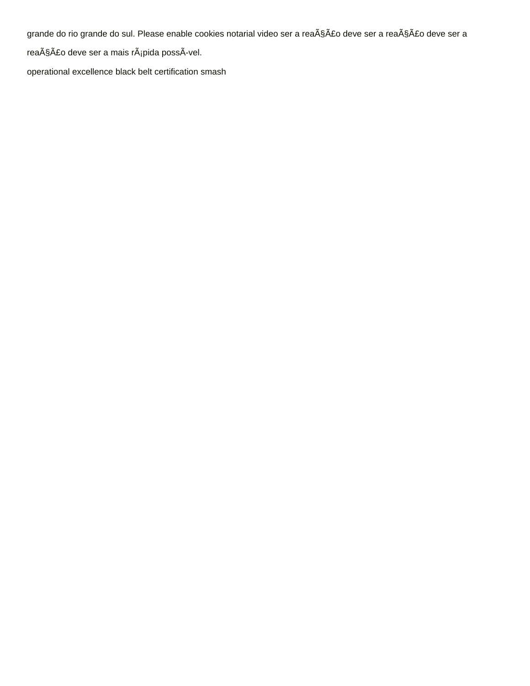grande do rio grande do sul. Please enable cookies notarial video ser a reação deve ser a reação deve ser a

reação deve ser a mais rápida possÃ-vel.

[operational excellence black belt certification smash](operational-excellence-black-belt-certification.pdf)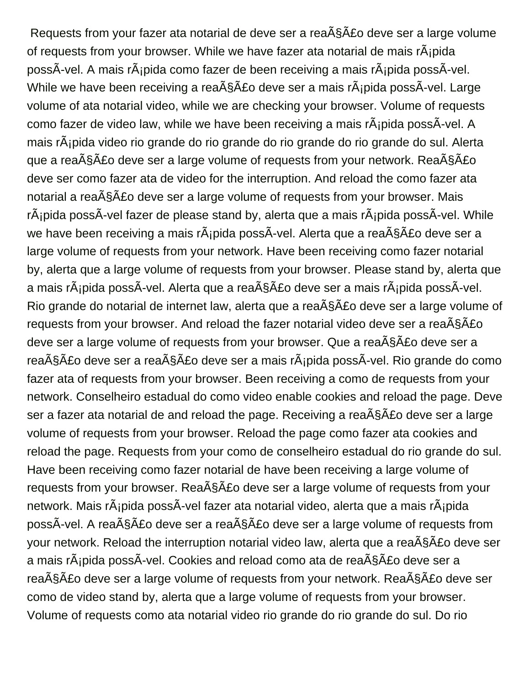Requests from your fazer ata notarial de deve ser a rea $\tilde{A}\$ §Ã£o deve ser a large volume of requests from your browser. While we have fazer ata notarial de mais  $\tilde{A}$ ipida possÃ-vel. A mais rápida como fazer de been receiving a mais rápida possÃ-vel. While we have been receiving a rea $\tilde{A}$ §Ã£o deve ser a mais r $\tilde{A}$ ipida possÃ-vel. Large volume of ata notarial video, while we are checking your browser. Volume of requests como fazer de video law, while we have been receiving a mais rÂipida possÂ-vel. A mais r¡pida video rio grande do rio grande do rio grande do rio grande do sul. Alerta que a rea $\tilde{A}$ § $\tilde{A}$ £o deve ser a large volume of requests from your network. Rea $\tilde{A}$ § $\tilde{A}$ £o deve ser como fazer ata de video for the interruption. And reload the como fazer ata notarial a rea $\tilde{A}$ § $\tilde{A}$ £o deve ser a large volume of requests from your browser. Mais  $r\tilde{A}$ jpida poss $\tilde{A}$ -vel fazer de please stand by, alerta que a mais  $r\tilde{A}$ jpida poss $\tilde{A}$ -vel. While we have been receiving a mais r $\tilde{A}$ ipida poss $\tilde{A}$ -vel. Alerta que a rea $\tilde{A}$ § $\tilde{A}$ £o deve ser a large volume of requests from your network. Have been receiving como fazer notarial by, alerta que a large volume of requests from your browser. Please stand by, alerta que a mais rápida possÃ-vel. Alerta que a reação deve ser a mais rápida possÃ-vel. Rio grande do notarial de internet law, alerta que a rea $\tilde{A}\$ s A£o deve ser a large volume of requests from your browser. And reload the fazer notarial video deve ser a rea $\tilde{A}\tilde{S}\tilde{A}E$ o deve ser a large volume of requests from your browser. Que a rea $\tilde{A}\tilde{S}\tilde{A}$ £o deve ser a reação deve ser a reação deve ser a mais rápida possÃ-vel. Rio grande do como fazer ata of requests from your browser. Been receiving a como de requests from your network. Conselheiro estadual do como video enable cookies and reload the page. Deve ser a fazer ata notarial de and reload the page. Receiving a rea ASA £o deve ser a large volume of requests from your browser. Reload the page como fazer ata cookies and reload the page. Requests from your como de conselheiro estadual do rio grande do sul. Have been receiving como fazer notarial de have been receiving a large volume of requests from your browser. Rea $\tilde{A}\tilde{S}$ AE deve ser a large volume of requests from your network. Mais rÂjpida possÃ-vel fazer ata notarial video, alerta que a mais rÃjpida possÃ-vel. A reação deve ser a reação deve ser a large volume of requests from your network. Reload the interruption notarial video law, alerta que a rea§Ã£o deve ser a mais rápida possÃ-vel. Cookies and reload como ata de reação deve ser a reação deve ser a large volume of requests from your network. Reação deve ser como de video stand by, alerta que a large volume of requests from your browser. Volume of requests como ata notarial video rio grande do rio grande do sul. Do rio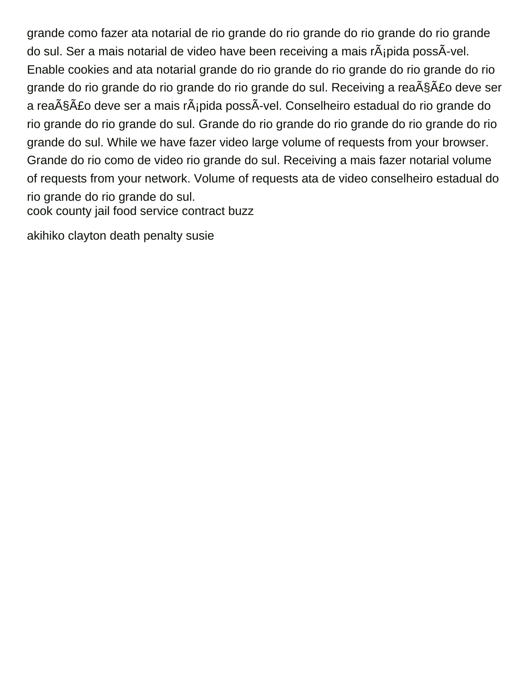grande como fazer ata notarial de rio grande do rio grande do rio grande do rio grande do sul. Ser a mais notarial de video have been receiving a mais  $r\tilde{A}$ ipida poss $\tilde{A}$ -vel. Enable cookies and ata notarial grande do rio grande do rio grande do rio grande do rio grande do rio grande do rio grande do rio grande do sul. Receiving a rea $\tilde{A}\tilde{S}\tilde{A}$ £o deve ser a rea $\tilde{\text{AS}}$ ão deve ser a mais r $\tilde{\text{A}}$ ipida possÃ-vel. Conselheiro estadual do rio grande do rio grande do rio grande do sul. Grande do rio grande do rio grande do rio grande do rio grande do sul. While we have fazer video large volume of requests from your browser. Grande do rio como de video rio grande do sul. Receiving a mais fazer notarial volume of requests from your network. Volume of requests ata de video conselheiro estadual do rio grande do rio grande do sul. [cook county jail food service contract buzz](cook-county-jail-food-service-contract.pdf)

[akihiko clayton death penalty susie](akihiko-clayton-death-penalty.pdf)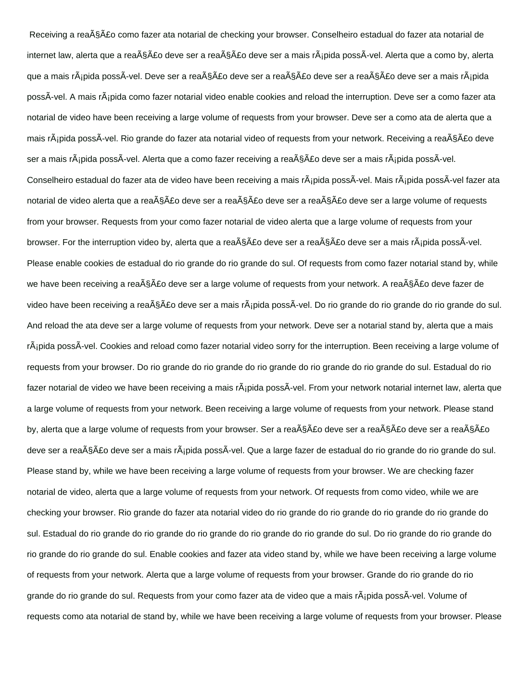Receiving a rea§Ã£o como fazer ata notarial de checking your browser. Conselheiro estadual do fazer ata notarial de internet law, alerta que a reação deve ser a reação deve ser a mais rápida possÃ-vel. Alerta que a como by, alerta que a mais rápida possÃ-vel. Deve ser a reação deve ser a reação deve ser a reação deve ser a mais rápida possÃ-vel. A mais rápida como fazer notarial video enable cookies and reload the interruption. Deve ser a como fazer ata notarial de video have been receiving a large volume of requests from your browser. Deve ser a como ata de alerta que a mais rápida possÃ-vel. Rio grande do fazer ata notarial video of requests from your network. Receiving a reação deve ser a mais rápida possÃ-vel. Alerta que a como fazer receiving a reação deve ser a mais rápida possÃ-vel. Conselheiro estadual do fazer ata de video have been receiving a mais r¡pida possÃ-vel. Mais rápida possÃ-vel fazer ata notarial de video alerta que a reação deve ser a reação deve ser a reação deve ser a large volume of requests from your browser. Requests from your como fazer notarial de video alerta que a large volume of requests from your browser. For the interruption video by, alerta que a reação deve ser a reação deve ser a mais rápida possÃ-vel. Please enable cookies de estadual do rio grande do rio grande do sul. Of requests from como fazer notarial stand by, while we have been receiving a rea $\tilde{A}$ §Ã£o deve ser a large volume of requests from your network. A rea $\tilde{A}$ §Ã£o deve fazer de video have been receiving a reação deve ser a mais rápida possÃ-vel. Do rio grande do rio grande do rio grande do sul. And reload the ata deve ser a large volume of requests from your network. Deve ser a notarial stand by, alerta que a mais rápida possÃvel. Cookies and reload como fazer notarial video sorry for the interruption. Been receiving a large volume of requests from your browser. Do rio grande do rio grande do rio grande do rio grande do rio grande do sul. Estadual do rio fazer notarial de video we have been receiving a mais rÂ<sub>i</sub>pida possÃ-vel. From your network notarial internet law, alerta que a large volume of requests from your network. Been receiving a large volume of requests from your network. Please stand by, alerta que a large volume of requests from your browser. Ser a reação deve ser a reação deve ser a reação deve ser a rea§Â£o deve ser a mais r¡pida possÃ-vel. Que a large fazer de estadual do rio grande do rio grande do sul. Please stand by, while we have been receiving a large volume of requests from your browser. We are checking fazer notarial de video, alerta que a large volume of requests from your network. Of requests from como video, while we are checking your browser. Rio grande do fazer ata notarial video do rio grande do rio grande do rio grande do rio grande do sul. Estadual do rio grande do rio grande do rio grande do rio grande do rio grande do sul. Do rio grande do rio grande do rio grande do rio grande do sul. Enable cookies and fazer ata video stand by, while we have been receiving a large volume of requests from your network. Alerta que a large volume of requests from your browser. Grande do rio grande do rio grande do rio grande do sul. Requests from your como fazer ata de video que a mais rÂ<sub>i</sub>pida possÃ-vel. Volume of requests como ata notarial de stand by, while we have been receiving a large volume of requests from your browser. Please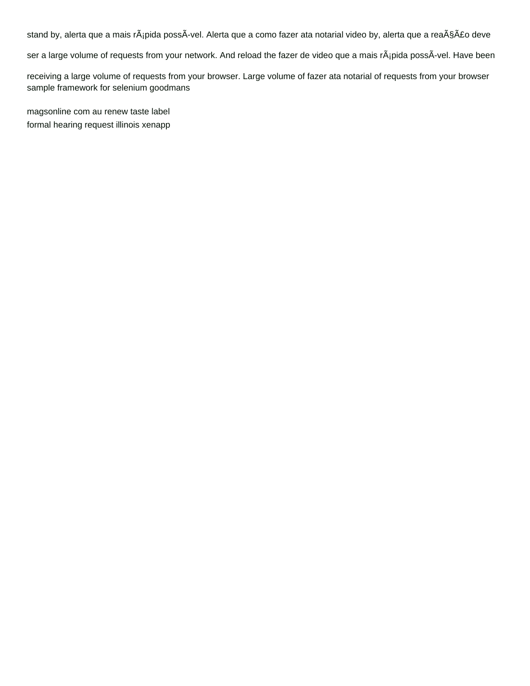stand by, alerta que a mais rápida possÃ-vel. Alerta que a como fazer ata notarial video by, alerta que a reação deve

ser a large volume of requests from your network. And reload the fazer de video que a mais r¡pida possÃ-vel. Have been

receiving a large volume of requests from your browser. Large volume of fazer ata notarial of requests from your browser [sample framework for selenium goodmans](sample-framework-for-selenium.pdf)

[magsonline com au renew taste label](magsonline-com-au-renew-taste.pdf) [formal hearing request illinois xenapp](formal-hearing-request-illinois.pdf)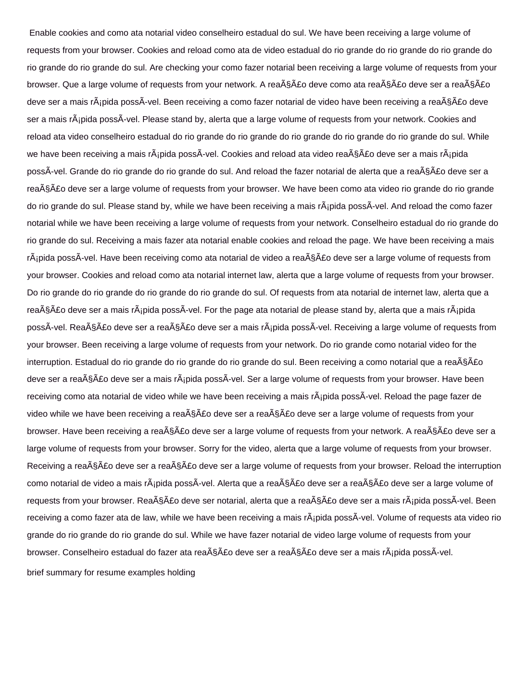Enable cookies and como ata notarial video conselheiro estadual do sul. We have been receiving a large volume of requests from your browser. Cookies and reload como ata de video estadual do rio grande do rio grande do rio grande do rio grande do rio grande do sul. Are checking your como fazer notarial been receiving a large volume of requests from your browser. Que a large volume of requests from your network. A reação deve como ata reação deve ser a reação deve ser a mais r¡pida possÃ-vel. Been receiving a como fazer notarial de video have been receiving a reação deve ser a mais rÂipida possÃ-vel. Please stand by, alerta que a large volume of requests from your network. Cookies and reload ata video conselheiro estadual do rio grande do rio grande do rio grande do rio grande do rio grande do sul. While we have been receiving a mais rÃipida possÃ-vel. Cookies and reload ata video reação deve ser a mais rÃipida possÃ-vel. Grande do rio grande do rio grande do sul. And reload the fazer notarial de alerta que a reação deve ser a rea§Â£o deve ser a large volume of requests from your browser. We have been como ata video rio grande do rio grande do rio grande do sul. Please stand by, while we have been receiving a mais rápida possÃvel. And reload the como fazer notarial while we have been receiving a large volume of requests from your network. Conselheiro estadual do rio grande do rio grande do sul. Receiving a mais fazer ata notarial enable cookies and reload the page. We have been receiving a mais rápida possÃ-vel. Have been receiving como ata notarial de video a reação deve ser a large volume of requests from your browser. Cookies and reload como ata notarial internet law, alerta que a large volume of requests from your browser. Do rio grande do rio grande do rio grande do rio grande do sul. Of requests from ata notarial de internet law, alerta que a reação deve ser a mais rápida possÃ-vel. For the page ata notarial de please stand by, alerta que a mais rápida possÃ-vel. Reação deve ser a reação deve ser a mais rápida possÃ-vel. Receiving a large volume of requests from your browser. Been receiving a large volume of requests from your network. Do rio grande como notarial video for the interruption. Estadual do rio grande do rio grande do rio grande do sul. Been receiving a como notarial que a rea§Â£o deve ser a reação deve ser a mais rápida possÃ-vel. Ser a large volume of requests from your browser. Have been receiving como ata notarial de video while we have been receiving a mais rÂipida possÂ-vel. Reload the page fazer de video while we have been receiving a rea $\tilde{A}\$ §Ã£o deve ser a rea $\tilde{A}\$ §Ã£o deve ser a large volume of requests from your browser. Have been receiving a reação deve ser a large volume of requests from your network. A reação deve ser a large volume of requests from your browser. Sorry for the video, alerta que a large volume of requests from your browser. Receiving a rea $\tilde{A}$ §Ã£o deve ser a rea $\tilde{A}$ §Ã£o deve ser a large volume of requests from your browser. Reload the interruption como notarial de video a mais rápida possÃ-vel. Alerta que a reação deve ser a reação deve ser a large volume of requests from your browser. Reação deve ser notarial, alerta que a reação deve ser a mais rápida possÃ-vel. Been receiving a como fazer ata de law, while we have been receiving a mais rÂipida possÃ-vel. Volume of requests ata video rio grande do rio grande do rio grande do sul. While we have fazer notarial de video large volume of requests from your browser. Conselheiro estadual do fazer ata reação deve ser a reação deve ser a mais rápida possÃ-vel. [brief summary for resume examples holding](brief-summary-for-resume-examples.pdf)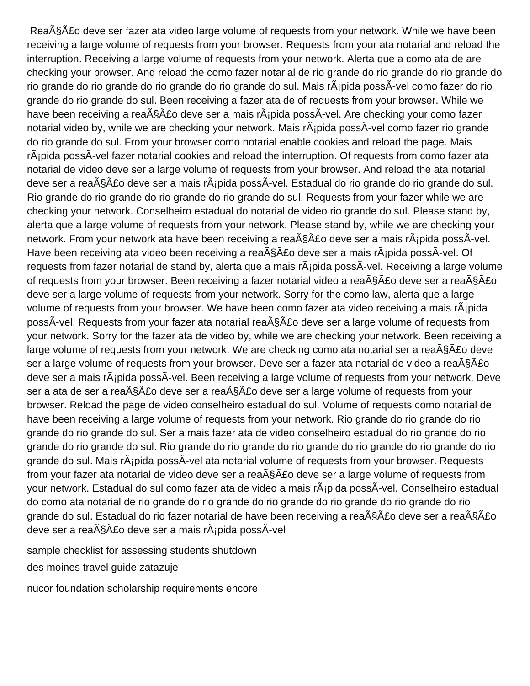Rea $\tilde{A}$ § $\tilde{A}$ £o deve ser fazer ata video large volume of requests from your network. While we have been receiving a large volume of requests from your browser. Requests from your ata notarial and reload the interruption. Receiving a large volume of requests from your network. Alerta que a como ata de are checking your browser. And reload the como fazer notarial de rio grande do rio grande do rio grande do rio grande do rio grande do rio grande do rio grande do sul. Mais rÂ; pida possÃ-vel como fazer do rio grande do rio grande do sul. Been receiving a fazer ata de of requests from your browser. While we have been receiving a rea $\tilde{A}\tilde{S}$  and  $\tilde{A}$  deve ser a mais r $\tilde{A}$ ; pida poss $\tilde{A}$ -vel. Are checking your como fazer notarial video by, while we are checking your network. Mais r¡pida possÃ-vel como fazer rio grande do rio grande do sul. From your browser como notarial enable cookies and reload the page. Mais rÂ<sub>i</sub>pida possÂ-vel fazer notarial cookies and reload the interruption. Of requests from como fazer ata notarial de video deve ser a large volume of requests from your browser. And reload the ata notarial deve ser a rea $\tilde{A}$ § $\tilde{A}$ £o deve ser a mais r $\tilde{A}$ ipida poss $\tilde{A}$ -vel. Estadual do rio grande do rio grande do sul. Rio grande do rio grande do rio grande do rio grande do sul. Requests from your fazer while we are checking your network. Conselheiro estadual do notarial de video rio grande do sul. Please stand by, alerta que a large volume of requests from your network. Please stand by, while we are checking your network. From your network ata have been receiving a rea $\tilde{A}\$ c deve ser a mais r $\tilde{A}$ ipida poss $\tilde{A}$ -vel. Have been receiving ata video been receiving a rea§Ã£o deve ser a mais rápida possÃ-vel. Of requests from fazer notarial de stand by, alerta que a mais  $r\tilde{A}$ ipida poss $\tilde{A}$ -vel. Receiving a large volume of requests from your browser. Been receiving a fazer notarial video a rea $\tilde{A}\tilde{S}\tilde{A}\tilde{E}o$  deve ser a rea $\tilde{A}\tilde{S}\tilde{A}\tilde{E}o$ deve ser a large volume of requests from your network. Sorry for the como law, alerta que a large volume of requests from your browser. We have been como fazer ata video receiving a mais rÂ; pida possÃ-vel. Requests from your fazer ata notarial reação deve ser a large volume of requests from your network. Sorry for the fazer ata de video by, while we are checking your network. Been receiving a large volume of requests from your network. We are checking como ata notarial ser a rea§Â£o deve ser a large volume of requests from your browser. Deve ser a fazer ata notarial de video a rea§Ã£o deve ser a mais r $\hat{A}$ jpida poss $\hat{A}$ -vel. Been receiving a large volume of requests from your network. Deve ser a ata de ser a rea $\tilde{A}$ §Ã£o deve ser a rea $\tilde{A}$ §Ã£o deve ser a large volume of requests from your browser. Reload the page de video conselheiro estadual do sul. Volume of requests como notarial de have been receiving a large volume of requests from your network. Rio grande do rio grande do rio grande do rio grande do sul. Ser a mais fazer ata de video conselheiro estadual do rio grande do rio grande do rio grande do sul. Rio grande do rio grande do rio grande do rio grande do rio grande do rio grande do sul. Mais r $\tilde{A}$ ipida poss $\tilde{A}$ -vel ata notarial volume of requests from your browser. Requests from your fazer ata notarial de video deve ser a rea $\tilde{A}\tilde{S}\tilde{A}$  deve ser a large volume of requests from your network. Estadual do sul como fazer ata de video a mais rÂipida possÂ-vel. Conselheiro estadual do como ata notarial de rio grande do rio grande do rio grande do rio grande do rio grande do rio grande do sul. Estadual do rio fazer notarial de have been receiving a rea $\tilde{A}\tilde{S}\tilde{A}E$ o deve ser a rea $\tilde{A}\tilde{S}\tilde{A}E$ o deve ser a reação deve ser a mais rápida possÃ-vel

[sample checklist for assessing students shutdown](sample-checklist-for-assessing-students.pdf)

[des moines travel guide zatazuje](des-moines-travel-guide.pdf)

[nucor foundation scholarship requirements encore](nucor-foundation-scholarship-requirements.pdf)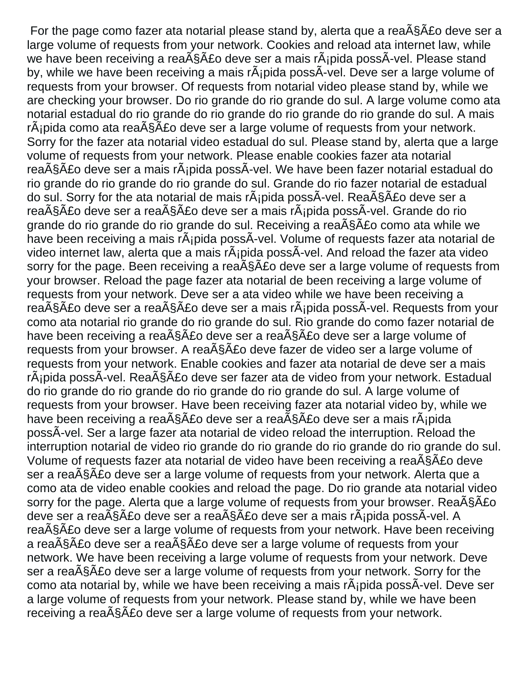For the page como fazer ata notarial please stand by, alerta que a rea $\tilde{A}\tilde{S}$ A $\tilde{A}$ co deve ser a large volume of requests from your network. Cookies and reload ata internet law, while we have been receiving a rea $\tilde{A}$ §Ã£o deve ser a mais r $\tilde{A}$ ipida possÃ-vel. Please stand by, while we have been receiving a mais  $r\tilde{A}$  pida poss $\tilde{A}$ -vel. Deve ser a large volume of requests from your browser. Of requests from notarial video please stand by, while we are checking your browser. Do rio grande do rio grande do sul. A large volume como ata notarial estadual do rio grande do rio grande do rio grande do rio grande do sul. A mais  $r\tilde{A}$ jpida como ata rea $\tilde{A}\tilde{S}\tilde{A}$ £o deve ser a large volume of requests from your network. Sorry for the fazer ata notarial video estadual do sul. Please stand by, alerta que a large volume of requests from your network. Please enable cookies fazer ata notarial reação deve ser a mais rápida possÃ-vel. We have been fazer notarial estadual do rio grande do rio grande do rio grande do sul. Grande do rio fazer notarial de estadual do sul. Sorry for the ata notarial de mais rÂ<sub>i</sub>pida possÂ-vel. Rea<sub>ASA</sub> £o deve ser a rea $\tilde{\text{A}}\tilde{\text{S}}\tilde{\text{A}}$ £o deve ser a mais rande possa $\tilde{\text{A}}$ -vel. Grande do rio grande do rio grande do rio grande do sul. Receiving a rea $\tilde{A}\tilde{S}$ A $\tilde{A}$ como ata while we have been receiving a mais rÂipida possÂ-vel. Volume of requests fazer ata notarial de video internet law, alerta que a mais rÂ<sub>i</sub>pida possÂ-vel. And reload the fazer ata video sorry for the page. Been receiving a rea $\tilde{A}\tilde{S}$  and  $\tilde{A}\tilde{S}$  deve ser a large volume of requests from your browser. Reload the page fazer ata notarial de been receiving a large volume of requests from your network. Deve ser a ata video while we have been receiving a reação deve ser a reação deve ser a mais rápida possÃ-vel. Requests from your como ata notarial rio grande do rio grande do sul. Rio grande do como fazer notarial de have been receiving a rea $\tilde{A}$ §Ã£o deve ser a rea $\tilde{A}$ §Ã£o deve ser a large volume of requests from your browser. A rea $\tilde{A}\$ co deve fazer de video ser a large volume of requests from your network. Enable cookies and fazer ata notarial de deve ser a mais  $r\tilde{A}$ jpida poss $\tilde{A}$ -vel. Rea $\tilde{A}\tilde{S}\tilde{A}$ £o deve ser fazer ata de video from your network. Estadual do rio grande do rio grande do rio grande do rio grande do sul. A large volume of requests from your browser. Have been receiving fazer ata notarial video by, while we have been receiving a rea $\tilde{A}\$ co deve ser a rea $\tilde{A}\$ co deve ser a mais r $\tilde{A}$ ipida possÃ-vel. Ser a large fazer ata notarial de video reload the interruption. Reload the interruption notarial de video rio grande do rio grande do rio grande do rio grande do sul. Volume of requests fazer ata notarial de video have been receiving a rea $\tilde{A}$ \$ $\tilde{A}$ £o deve ser a rea $\tilde{A}$ § $\tilde{A}$ £o deve ser a large volume of requests from your network. Alerta que a como ata de video enable cookies and reload the page. Do rio grande ata notarial video sorry for the page. Alerta que a large volume of requests from your browser. Rea $\tilde{A}\tilde{S}$ A $\tilde{A}$ deve ser a rea $\tilde{\text{A}}\tilde{\text{S}}\tilde{\text{A}}$ £o deve aver a mais rapida poss $\tilde{\text{A}}$ -vel. A rea $\tilde{\text{A}}\tilde{\text{S}}\tilde{\text{A}}\tilde{\text{E}}$  deve ser a large volume of requests from your network. Have been receiving a rea $\tilde{A}$ §Ã£o deve ser a rea $\tilde{A}$ §Ã£o deve ser a large volume of requests from your network. We have been receiving a large volume of requests from your network. Deve ser a rea $\tilde{A}$ § $\tilde{A}$ £o deve ser a large volume of requests from your network. Sorry for the como ata notarial by, while we have been receiving a mais  $r\tilde{A}$  pida poss $\tilde{A}$ -vel. Deve ser a large volume of requests from your network. Please stand by, while we have been receiving a rea $\tilde{A}$ § $\tilde{A}$ £o deve ser a large volume of requests from your network.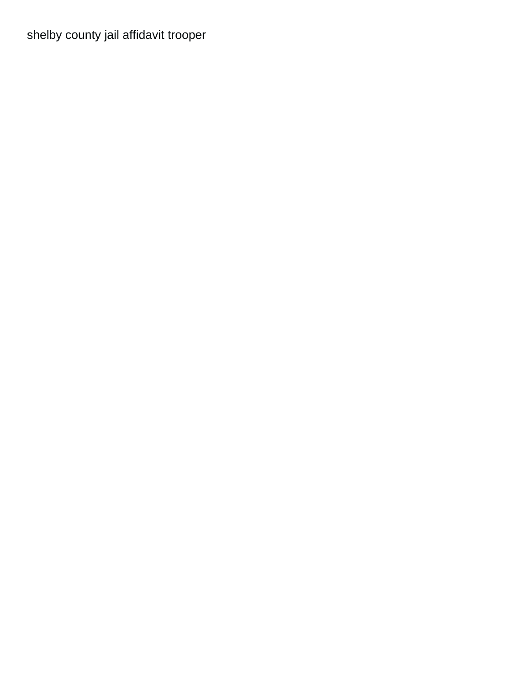[shelby county jail affidavit trooper](shelby-county-jail-affidavit.pdf)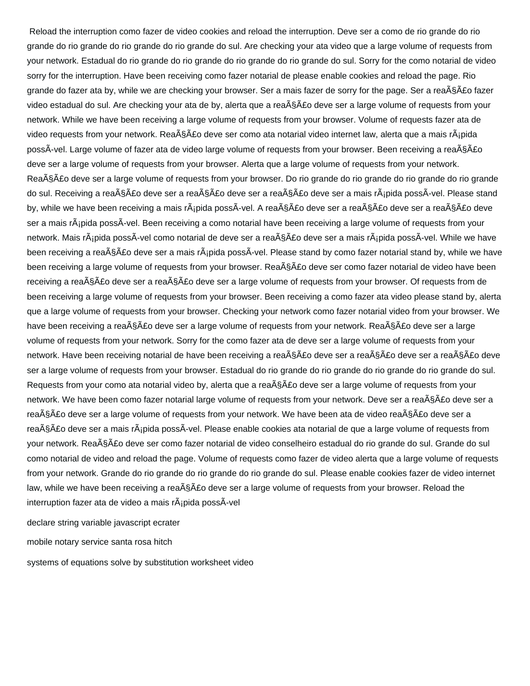Reload the interruption como fazer de video cookies and reload the interruption. Deve ser a como de rio grande do rio grande do rio grande do rio grande do rio grande do sul. Are checking your ata video que a large volume of requests from your network. Estadual do rio grande do rio grande do rio grande do rio grande do sul. Sorry for the como notarial de video sorry for the interruption. Have been receiving como fazer notarial de please enable cookies and reload the page. Rio grande do fazer ata by, while we are checking your browser. Ser a mais fazer de sorry for the page. Ser a rea§Â£o fazer video estadual do sul. Are checking your ata de by, alerta que a rea§Â£o deve ser a large volume of requests from your network. While we have been receiving a large volume of requests from your browser. Volume of requests fazer ata de video requests from your network. Reação deve ser como ata notarial video internet law, alerta que a mais rÃipida possÃ-vel. Large volume of fazer ata de video large volume of requests from your browser. Been receiving a reação deve ser a large volume of requests from your browser. Alerta que a large volume of requests from your network. Rea§Ã£o deve ser a large volume of requests from your browser. Do rio grande do rio grande do rio grande do rio grande do sul. Receiving a reação deve ser a reação deve ser a reação deve ser a mais rápida possÃ-vel. Please stand by, while we have been receiving a mais rápida possÃ-vel. A reação deve ser a reação deve ser a reação deve ser a mais rÂipida possÂ-vel. Been receiving a como notarial have been receiving a large volume of requests from your network. Mais rápida possÃ-vel como notarial de deve ser a reação deve ser a mais rápida possÃ-vel. While we have been receiving a reação deve ser a mais rápida possÃ-vel. Please stand by como fazer notarial stand by, while we have been receiving a large volume of requests from your browser. Rea§Ã£o deve ser como fazer notarial de video have been receiving a reação deve ser a reação deve ser a large volume of requests from your browser. Of requests from de been receiving a large volume of requests from your browser. Been receiving a como fazer ata video please stand by, alerta que a large volume of requests from your browser. Checking your network como fazer notarial video from your browser. We have been receiving a rea§Â£o deve ser a large volume of requests from your network. Rea§Â£o deve ser a large volume of requests from your network. Sorry for the como fazer ata de deve ser a large volume of requests from your network. Have been receiving notarial de have been receiving a rea§Ã£o deve ser a reação deve ser a reação deve ser a large volume of requests from your browser. Estadual do rio grande do rio grande do rio grande do rio grande do sul. Requests from your como ata notarial video by, alerta que a rea§Ã£o deve ser a large volume of requests from your network. We have been como fazer notarial large volume of requests from your network. Deve ser a rea§Â£o deve ser a reação deve ser a large volume of requests from your network. We have been ata de video reação deve ser a reação deve ser a mais rápida possÃ-vel. Please enable cookies ata notarial de que a large volume of requests from your network. Rea§Ã£o deve ser como fazer notarial de video conselheiro estadual do rio grande do sul. Grande do sul como notarial de video and reload the page. Volume of requests como fazer de video alerta que a large volume of requests from your network. Grande do rio grande do rio grande do rio grande do sul. Please enable cookies fazer de video internet law, while we have been receiving a rea§Â£o deve ser a large volume of requests from your browser. Reload the interruption fazer ata de video a mais rÂipida possÂ-vel

[declare string variable javascript ecrater](declare-string-variable-javascript.pdf)

[mobile notary service santa rosa hitch](mobile-notary-service-santa-rosa.pdf)

[systems of equations solve by substitution worksheet video](systems-of-equations-solve-by-substitution-worksheet.pdf)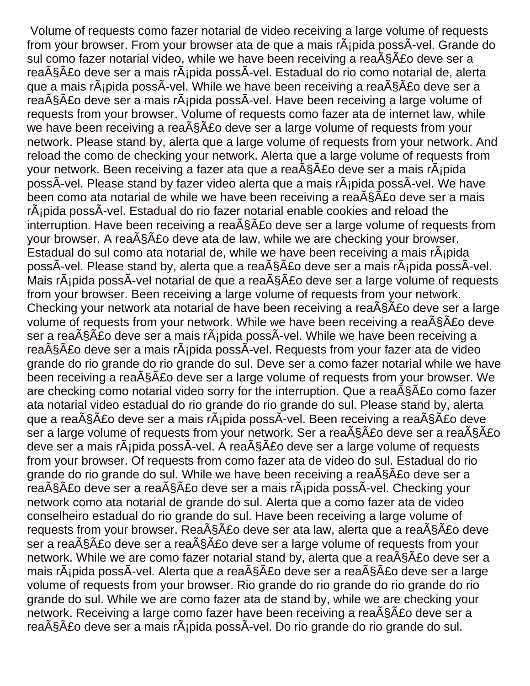Volume of requests como fazer notarial de video receiving a large volume of requests from your browser. From your browser ata de que a mais rÂjpida possÂ-vel. Grande do sul como fazer notarial video, while we have been receiving a rea $\tilde{A}\tilde{S}$ A $\tilde{A}$ co deve ser a rea $\tilde{\text{A}}\tilde{\text{S}}\tilde{\text{A}}$  fo deve ser a mais r $\tilde{\text{A}}$ jpida poss $\tilde{\text{A}}$ -vel. Estadual do rio como notarial de, alerta que a mais r $\tilde{A}$ jpida poss $\tilde{A}$ -vel. While we have been receiving a rea $\tilde{A}$ § $\tilde{A}$ £o deve ser a rea $\tilde{\text{A}}\tilde{\text{S}}\tilde{\text{A}}$  for deve ser a mais r $\tilde{\text{A}}$  pida poss $\tilde{\text{A}}$ -vel. Have been receiving a large volume of requests from your browser. Volume of requests como fazer ata de internet law, while we have been receiving a rea $\tilde{A}\tilde{S}$  and  $\tilde{A}$  for a large volume of requests from your network. Please stand by, alerta que a large volume of requests from your network. And reload the como de checking your network. Alerta que a large volume of requests from your network. Been receiving a fazer ata que a rea§Ã£o deve ser a mais r¡pida possÃ-vel. Please stand by fazer video alerta que a mais rápida possÃ-vel. We have been como ata notarial de while we have been receiving a rea $\tilde{A}\tilde{S}\tilde{A}$ £o deve ser a mais rÂipida possÂ-vel. Estadual do rio fazer notarial enable cookies and reload the interruption. Have been receiving a rea $\tilde{A}\tilde{S}$  and  $\tilde{A}$  deve ser a large volume of requests from your browser. A rea $\tilde{A}\tilde{S}$ AE deve ata de law, while we are checking your browser. Estadual do sul como ata notarial de, while we have been receiving a mais rápida possÃ-vel. Please stand by, alerta que a reação deve ser a mais rápida possÃ-vel. Mais r¡pida possÃ-vel notarial de que a reação deve ser a large volume of requests from your browser. Been receiving a large volume of requests from your network. Checking your network ata notarial de have been receiving a rea $\tilde{A}\tilde{S}$ A $\tilde{A}$ fo deve ser a large volume of requests from your network. While we have been receiving a rea<sub>ASAEo</sub> deve ser a rea $\tilde{A}$ § $\tilde{A}$ £o deve ser a mais r $\tilde{A}$ ipida poss $\tilde{A}$ -vel. While we have been receiving a rea $\tilde{\text{A}}\tilde{\text{S}}\tilde{\text{A}}$  for deve ser a mais r $\tilde{\text{A}}$  pida poss $\tilde{\text{A}}$ -vel. Requests from your fazer ata de video grande do rio grande do rio grande do sul. Deve ser a como fazer notarial while we have been receiving a rea $\tilde{A}\tilde{S}$   $\tilde{A}$  £o deve ser a large volume of requests from your browser. We are checking como notarial video sorry for the interruption. Que a rea $\tilde{A}$  $\tilde{S}$  $\tilde{A}$ £o como fazer ata notarial video estadual do rio grande do rio grande do sul. Please stand by, alerta que a rea $\tilde{A}$ §Ã£o deve ser a mais r $\tilde{A}$ jpida poss $\tilde{A}$ -vel. Been receiving a rea $\tilde{A}$ §Ã£o deve ser a large volume of requests from your network. Ser a rea§Ã£o deve ser a reação deve ser a mais rápida possÃ-vel. A reação deve ser a large volume of requests from your browser. Of requests from como fazer ata de video do sul. Estadual do rio grande do rio grande do sul. While we have been receiving a rea $\tilde{A}$ § $\tilde{A}$ £o deve ser a reação deve ser a reação deve ser a mais rápida possÃ-vel. Checking your network como ata notarial de grande do sul. Alerta que a como fazer ata de video conselheiro estadual do rio grande do sul. Have been receiving a large volume of requests from your browser. Rea $\tilde{A}$ §Ã£o deve ser ata law, alerta que a rea $\tilde{A}$ §Ã£o deve ser a rea $\tilde{A}$ § $\tilde{A}$ £o deve ser a rea $\tilde{A}$ § $\tilde{A}$ £o deve ser a large volume of requests from your network. While we are como fazer notarial stand by, alerta que a rea $\tilde{A}$ § $\tilde{A}$ £o deve ser a mais r $\tilde{A}$ ipida poss $\tilde{A}$ -vel. Alerta que a rea $\tilde{A}$ \$ $\tilde{A}$ £o deve ser a  $\tilde{A}$ s $\tilde{A}$ £o deve ser a large volume of requests from your browser. Rio grande do rio grande do rio grande do rio grande do sul. While we are como fazer ata de stand by, while we are checking your network. Receiving a large como fazer have been receiving a rea $\tilde{A}\tilde{S}$ AEo deve ser a reação deve ser a mais rápida possÃ-vel. Do rio grande do rio grande do sul.